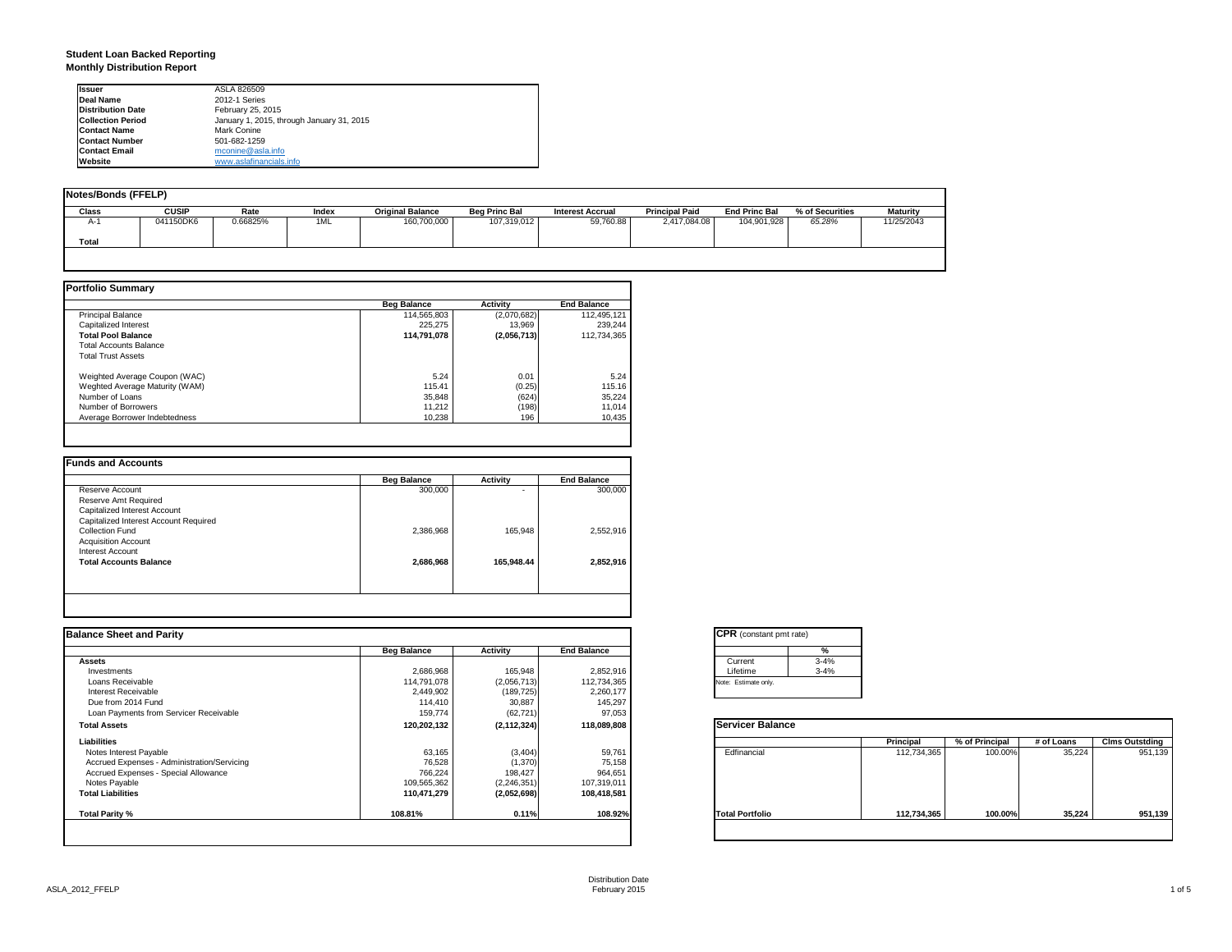### **Student Loan Backed Reporting Monthly Distribution Report**

| <b>Issuer</b>            | ASLA 826509                               |  |
|--------------------------|-------------------------------------------|--|
| Deal Name                | 2012-1 Series                             |  |
| <b>Distribution Date</b> | February 25, 2015                         |  |
| <b>Collection Period</b> | January 1, 2015, through January 31, 2015 |  |
| <b>Contact Name</b>      | Mark Conine                               |  |
| <b>Contact Number</b>    | 501-682-1259                              |  |
| <b>Contact Email</b>     | mconine@asla.info                         |  |
| Website                  | www.aslafinancials.info                   |  |

| Notes/Bonds (FFELP) |              |          |       |                         |                      |                         |                       |                      |                 |                 |
|---------------------|--------------|----------|-------|-------------------------|----------------------|-------------------------|-----------------------|----------------------|-----------------|-----------------|
| Class               | <b>CUSIP</b> | Rate     | Index | <b>Original Balance</b> | <b>Beg Princ Bal</b> | <b>Interest Accrual</b> | <b>Principal Paid</b> | <b>End Princ Bal</b> | % of Securities | <b>Maturity</b> |
| $A-1$               | 041150DK6    | 0.66825% | 1ML   | 160,700,000             | 107,319,012          | 59.760.88               | 2.417.084.08          | 104.901.928          | 65.28%          | 11/25/2043      |
| Total               |              |          |       |                         |                      |                         |                       |                      |                 |                 |
|                     |              |          |       |                         |                      |                         |                       |                      |                 |                 |

|                                | <b>Beg Balance</b> | <b>Activity</b> | <b>End Balance</b> |
|--------------------------------|--------------------|-----------------|--------------------|
| <b>Principal Balance</b>       | 114.565.803        | (2,070,682)     | 112,495,121        |
| Capitalized Interest           | 225.275            | 13.969          | 239.244            |
| <b>Total Pool Balance</b>      | 114,791,078        | (2,056,713)     | 112.734.365        |
| <b>Total Accounts Balance</b>  |                    |                 |                    |
| <b>Total Trust Assets</b>      |                    |                 |                    |
| Weighted Average Coupon (WAC)  | 5.24               | 0.01            | 5.24               |
| Weghted Average Maturity (WAM) | 115.41             | (0.25)          | 115.16             |
| Number of Loans                | 35,848             | (624)           | 35,224             |
| Number of Borrowers            | 11.212             | (198)           | 11,014             |
| Average Borrower Indebtedness  | 10.238             | 196             | 10,435             |

|                                       | <b>Beg Balance</b> | <b>Activity</b> | <b>End Balance</b> |
|---------------------------------------|--------------------|-----------------|--------------------|
| Reserve Account                       | 300,000            | ۰               | 300,000            |
| Reserve Amt Required                  |                    |                 |                    |
| Capitalized Interest Account          |                    |                 |                    |
| Capitalized Interest Account Required |                    |                 |                    |
| Collection Fund                       | 2,386,968          | 165.948         | 2,552,916          |
| <b>Acquisition Account</b>            |                    |                 |                    |
| Interest Account                      |                    |                 |                    |
| <b>Total Accounts Balance</b>         | 2,686,968          | 165.948.44      | 2.852.916          |
|                                       |                    |                 |                    |
|                                       |                    |                 |                    |

| <b>Balance Sheet and Parity</b>             |                    |               |                    | <b>CPR</b> (constant pmt rate) |             |                |            |                       |
|---------------------------------------------|--------------------|---------------|--------------------|--------------------------------|-------------|----------------|------------|-----------------------|
|                                             | <b>Beg Balance</b> | Activity      | <b>End Balance</b> | %                              |             |                |            |                       |
| <b>Assets</b>                               |                    |               |                    | $3 - 4%$<br>Current            |             |                |            |                       |
| Investments                                 | 2,686,968          | 165,948       | 2,852,916          | Lifetime<br>$3 - 4%$           |             |                |            |                       |
| Loans Receivable                            | 114,791,078        | (2,056,713)   | 112,734,365        | Note: Estimate only.           |             |                |            |                       |
| Interest Receivable                         | 2,449,902          | (189, 725)    | 2,260,177          |                                |             |                |            |                       |
| Due from 2014 Fund                          | 114,410            | 30,887        | 145,297            |                                |             |                |            |                       |
| Loan Payments from Servicer Receivable      | 159,774            | (62, 721)     | 97,053             |                                |             |                |            |                       |
| <b>Total Assets</b>                         | 120,202,132        | (2, 112, 324) | 118,089,808        | <b>Servicer Balance</b>        |             |                |            |                       |
| Liabilities                                 |                    |               |                    |                                | Principal   | % of Principal | # of Loans | <b>Clms Outstding</b> |
| Notes Interest Payable                      | 63,165             | (3, 404)      | 59,761             | Edfinancial                    | 112,734,365 | 100.00%        | 35,224     | 951,139               |
| Accrued Expenses - Administration/Servicing | 76,528             | (1,370)       | 75,158             |                                |             |                |            |                       |
| Accrued Expenses - Special Allowance        | 766,224            | 198,427       | 964,651            |                                |             |                |            |                       |
| Notes Payable                               | 109,565,362        | (2, 246, 351) | 107,319,011        |                                |             |                |            |                       |
| <b>Total Liabilities</b>                    | 110,471,279        | (2,052,698)   | 108,418,581        |                                |             |                |            |                       |
| Total Parity %                              | 108.81%            | 0.11%         | 108.92%            | <b>Total Portfolio</b>         | 112,734,365 | 100.00%        | 35,224     | 951,139               |
|                                             |                    |               |                    |                                |             |                |            |                       |

|          | %        |
|----------|----------|
| Current  | $3 - 4%$ |
| Lifetime | $3 - 4%$ |

|                        | Principal   | % of Principal | # of Loans | <b>Clms Outstding</b> |
|------------------------|-------------|----------------|------------|-----------------------|
| Edfinancial            | 112,734,365 | 100.00%        | 35,224     | 951,139               |
| <b>Total Portfolio</b> | 112,734,365 | 100.00%        | 35.224     | 951,139               |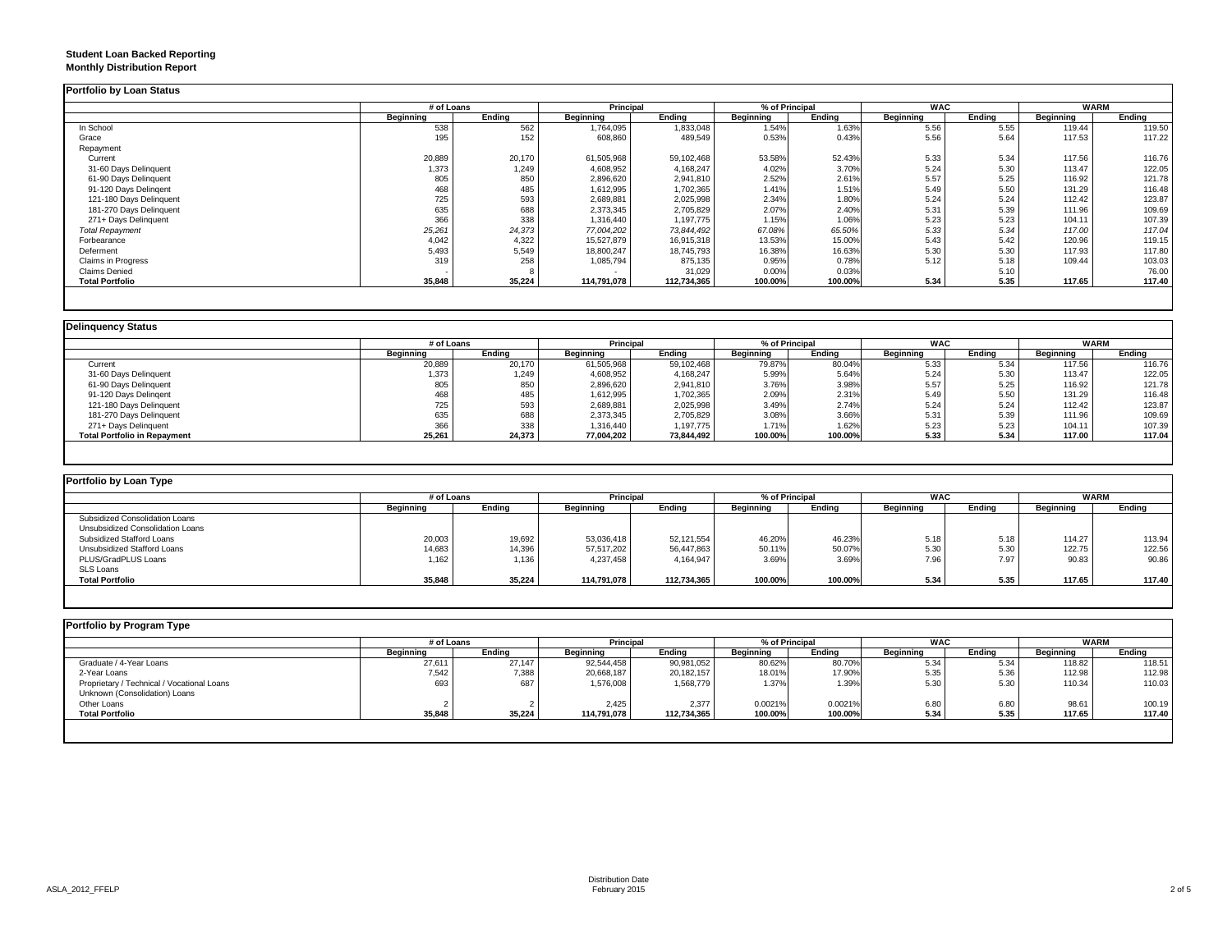### **Student Loan Backed Reporting Monthly Distribution Report**

|                         |           | # of Loans |             | Principal   |           | % of Principal |                  | <b>WAC</b> | <b>WARM</b> |        |
|-------------------------|-----------|------------|-------------|-------------|-----------|----------------|------------------|------------|-------------|--------|
|                         | Beginning | Ending     | Beginning   | Ending      | Beginning | Ending         | <b>Beginning</b> | Ending     | Beginning   | Ending |
| In School               | 538       | 562        | 1,764,095   | 1,833,048   | 1.54%     | 1.63%          | 5.56             | 5.55       | 119.44      | 119.50 |
| Grace                   | 195       | 152        | 608,860     | 489,549     | 0.53%     | 0.43%          | 5.56             | 5.64       | 117.53      | 117.22 |
| Repayment               |           |            |             |             |           |                |                  |            |             |        |
| Current                 | 20,889    | 20,170     | 61,505,968  | 59,102,468  | 53.58%    | 52.43%         | 5.33             | 5.34       | 117.56      | 116.76 |
| 31-60 Days Delinquent   | 1,373     | 1,249      | 4,608,952   | 4,168,247   | 4.02%     | 3.70%          | 5.24             | 5.30       | 113.47      | 122.05 |
| 61-90 Days Delinquent   | 805       | 850        | 2,896,620   | 2,941,810   | 2.52%     | 2.61%          | 5.57             | 5.25       | 116.92      | 121.78 |
| 91-120 Days Delingent   | 468       | 485        | 1,612,995   | 1,702,365   | 1.41%     | 1.51%          | 5.49             | 5.50       | 131.29      | 116.48 |
| 121-180 Days Delinquent | 725       | 593        | 2,689,881   | 2,025,998   | 2.34%     | 1.80%          | 5.24             | 5.24       | 112.42      | 123.87 |
| 181-270 Days Delinquent | 635       | 688        | 2,373,345   | 2,705,829   | 2.07%     | 2.40%          | 5.31             | 5.39       | 111.96      | 109.69 |
| 271+ Days Delinquent    | 366       | 338        | 1,316,440   | 1,197,775   | 1.15%     | 1.06%          | 5.23             | 5.23       | 104.11      | 107.39 |
| <b>Total Repayment</b>  | 25,261    | 24,373     | 77,004,202  | 73.844.492  | 67.08%    | 65.50%         | 5.33             | 5.34       | 117.00      | 117.04 |
| Forbearance             | 4,042     | 4,322      | 15,527,879  | 16,915,318  | 13.53%    | 15.00%         | 5.43             | 5.42       | 120.96      | 119.15 |
| Deferment               | 5,493     | 5,549      | 18,800,247  | 18,745,793  | 16.38%    | 16.63%         | 5.30             | 5.30       | 117.93      | 117.80 |
| Claims in Progress      | 319       | 258        | 1,085,794   | 875,135     | 0.95%     | 0.78%          | 5.12             | 5.18       | 109.44      | 103.03 |
| <b>Claims Denied</b>    |           |            |             | 31,029      | 0.00%     | 0.03%          |                  | 5.10       |             | 76.00  |
| <b>Total Portfolio</b>  | 35,848    | 35,224     | 114,791,078 | 112,734,365 | 100.00%   | 100.00%        | 5.34             | 5.35       | 117.65      | 117.40 |

|                                     |           | # of Loans |                  | Principal  |                  | % of Principal |                  | <b>WAC</b> | <b>WARM</b>      |        |
|-------------------------------------|-----------|------------|------------------|------------|------------------|----------------|------------------|------------|------------------|--------|
|                                     | Beainnina | Endina     | <b>Beginning</b> | Endina     | <b>Beginning</b> | Endina         | <b>Beainning</b> | Endina     | <b>Beginning</b> | Endina |
| Current                             | 20,889    | 20,170     | 61,505,968       | 59,102,468 | 79.87%           | 80.04%         | 5.33             | 5.34       | 117.56           | 116.76 |
| 31-60 Days Delinquent               | 1,373     | 1,249      | 4,608,952        | 4,168,247  | 5.99%            | 5.64%          | 5.24             | 5.30       | 113.47           | 122.05 |
| 61-90 Days Delinquent               | 805       | 850        | 2,896,620        | 2,941,810  | 3.76%            | 3.98%          | 5.57             | 5.25       | 116.92           | 121.78 |
| 91-120 Days Delingent               | 468       | 485        | 1,612,995        | 1,702,365  | 2.09%            | 2.31%          | 5.49             | 5.50       | 131.29           | 116.48 |
| 121-180 Days Delinquent             | 725       | 593        | 2,689,881        | 2,025,998  | 3.49%            | 2.74%          | 5.24             | 5.24       | 112.42           | 123.87 |
| 181-270 Days Delinquent             | 635       | 688        | 2,373,345        | 2,705,829  | 3.08%            | 3.66%          | 5.31             | 5.39       | 111.96           | 109.69 |
| 271+ Days Delinquent                | 366       | 338        | 1,316,440        | 1,197,775  | 1.71%            | 1.62%          | 5.23             | 5.23       | 104.11           | 107.39 |
| <b>Total Portfolio in Repayment</b> | 25,261    | 24,373     | 77,004,202       | 73,844,492 | 100.00%          | 100.00%        | 5.33             | 5.34       | 117.00           | 117.04 |

| Portfolio by Loan Type           |                  |        |                  |             |                |         |            |        |                  |        |
|----------------------------------|------------------|--------|------------------|-------------|----------------|---------|------------|--------|------------------|--------|
|                                  | # of Loans       |        | Principal        |             | % of Principal |         | <b>WAC</b> |        | <b>WARM</b>      |        |
|                                  | <b>Beginning</b> | Ending | <b>Beginning</b> | Endina      | Beginning      | Endina  | Beginning  | Ending | <b>Beginning</b> | Ending |
| Subsidized Consolidation Loans   |                  |        |                  |             |                |         |            |        |                  |        |
| Unsubsidized Consolidation Loans |                  |        |                  |             |                |         |            |        |                  |        |
| Subsidized Stafford Loans        | 20,003           | 19,692 | 53,036,418       | 52,121,554  | 46.20%         | 46.23%  | 5.18       | 5.18   | 114.27           | 113.94 |
| Unsubsidized Stafford Loans      | 14,683           | 14,396 | 57,517,202       | 56,447,863  | 50.11%         | 50.07%  | 5.30       | 5.30   | 122.75           | 122.56 |
| PLUS/GradPLUS Loans              | 1,162            | 1,136  | 4,237,458        | 4,164,947   | 3.69%          | 3.69%   | 7.96       | 7.97   | 90.83            | 90.86  |
| SLS Loans                        |                  |        |                  |             |                |         |            |        |                  |        |
| <b>Total Portfolio</b>           | 35,848           | 35,224 | 114.791.078      | 112.734.365 | 100.00%        | 100.00% | 5.34       | 5.35   | 117.65           | 117.40 |

| Portfolio by Program Type                  |                  |        |                  |             |                  |         |                  |        |             |        |
|--------------------------------------------|------------------|--------|------------------|-------------|------------------|---------|------------------|--------|-------------|--------|
|                                            | # of Loans       |        | <b>Principal</b> |             | % of Principal   |         | <b>WAC</b>       |        | <b>WARM</b> |        |
|                                            | <b>Beginning</b> | Ending | Beginning        | Endina      | <b>Beginning</b> | Ending  | <b>Beginning</b> | Ending | Beginning   | Ending |
| Graduate / 4-Year Loans                    | 27,611           | 27,147 | 92,544,458       | 90,981,052  | 80.62%           | 80.70%  | 5.34             | 5.34   | 118.82      | 118.51 |
| 2-Year Loans                               | 7,542            | 7,388  | 20,668,187       | 20,182,157  | 18.01%           | 17.90%  | 5.35             | 5.36   | 112.98      | 112.98 |
| Proprietary / Technical / Vocational Loans | 693              | 687    | 1,576,008        | 1,568,779   | 1.37%            | 1.39%   | 5.30             | 5.30   | 110.34      | 110.03 |
| Unknown (Consolidation) Loans              |                  |        |                  |             |                  |         |                  |        |             |        |
| Other Loans                                |                  |        | 2,425            | 2.377       | 0.0021%          | 0.0021% | 6.80             | 6.80   | 98.6'       | 100.19 |
| <b>Total Portfolio</b>                     | 35,848           | 35,224 | 114,791,078      | 112,734,365 | 100.00%          | 100.00% | 5.34             | 5.35   | 117.65      | 117.40 |
|                                            |                  |        |                  |             |                  |         |                  |        |             |        |
|                                            |                  |        |                  |             |                  |         |                  |        |             |        |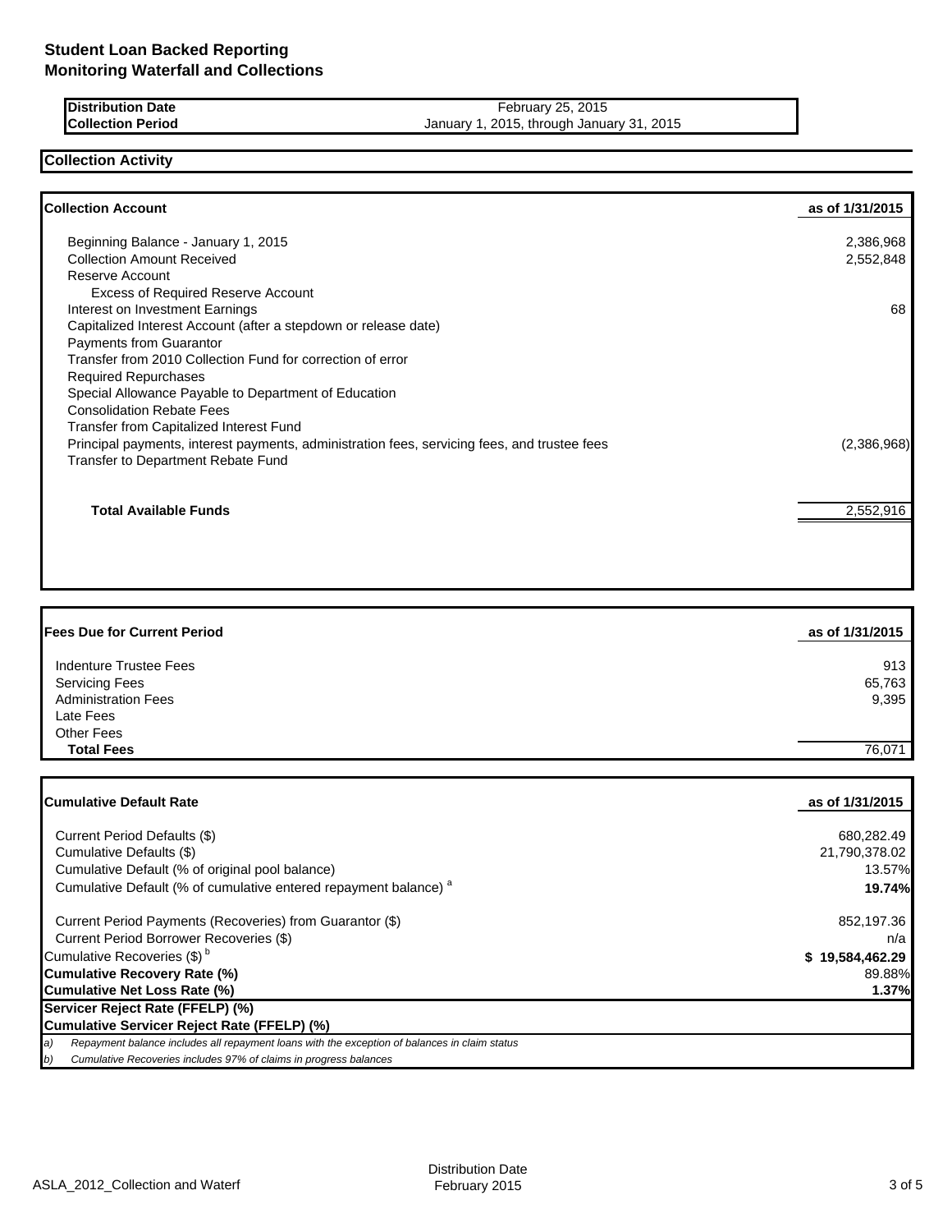| <b>Distribution Date</b> |  |
|--------------------------|--|
| <b>Collection Period</b> |  |

**Distribution Date** February 25, 2015 January 1, 2015, through January 31, 2015

## **Collection Activity**

| <b>Collection Account</b>                                                                    | as of 1/31/2015 |
|----------------------------------------------------------------------------------------------|-----------------|
| Beginning Balance - January 1, 2015                                                          | 2,386,968       |
| <b>Collection Amount Received</b>                                                            | 2,552,848       |
| Reserve Account                                                                              |                 |
| <b>Excess of Required Reserve Account</b>                                                    |                 |
| Interest on Investment Earnings                                                              | 68              |
| Capitalized Interest Account (after a stepdown or release date)                              |                 |
| Payments from Guarantor                                                                      |                 |
| Transfer from 2010 Collection Fund for correction of error                                   |                 |
| <b>Required Repurchases</b>                                                                  |                 |
| Special Allowance Payable to Department of Education                                         |                 |
| <b>Consolidation Rebate Fees</b>                                                             |                 |
| Transfer from Capitalized Interest Fund                                                      |                 |
| Principal payments, interest payments, administration fees, servicing fees, and trustee fees | (2,386,968)     |
| Transfer to Department Rebate Fund                                                           |                 |
| <b>Total Available Funds</b>                                                                 | 2,552,916       |
|                                                                                              |                 |

| <b>Fees Due for Current Period</b> | as of 1/31/2015 |
|------------------------------------|-----------------|
| Indenture Trustee Fees             | 913             |
| <b>Servicing Fees</b>              | 65,763          |
| <b>Administration Fees</b>         | 9,395           |
| Late Fees                          |                 |
| <b>Other Fees</b>                  |                 |
| <b>Total Fees</b>                  | 76.071          |

| <b>ICumulative Default Rate</b>                                                                     | as of 1/31/2015 |
|-----------------------------------------------------------------------------------------------------|-----------------|
|                                                                                                     |                 |
| Current Period Defaults (\$)                                                                        | 680.282.49      |
| Cumulative Defaults (\$)                                                                            | 21,790,378.02   |
| Cumulative Default (% of original pool balance)                                                     | 13.57%          |
| Cumulative Default (% of cumulative entered repayment balance) <sup>a</sup>                         | 19.74%          |
| Current Period Payments (Recoveries) from Guarantor (\$)                                            | 852,197.36      |
| Current Period Borrower Recoveries (\$)                                                             | n/a             |
| Cumulative Recoveries (\$) <sup>b</sup>                                                             | \$19,584,462.29 |
| Cumulative Recovery Rate (%)                                                                        | 89.88%          |
| Cumulative Net Loss Rate (%)                                                                        | 1.37%           |
| Servicer Reject Rate (FFELP) (%)                                                                    |                 |
| Cumulative Servicer Reject Rate (FFELP) (%)                                                         |                 |
| Repayment balance includes all repayment loans with the exception of balances in claim status<br>a) |                 |
| b)<br>Cumulative Recoveries includes 97% of claims in progress balances                             |                 |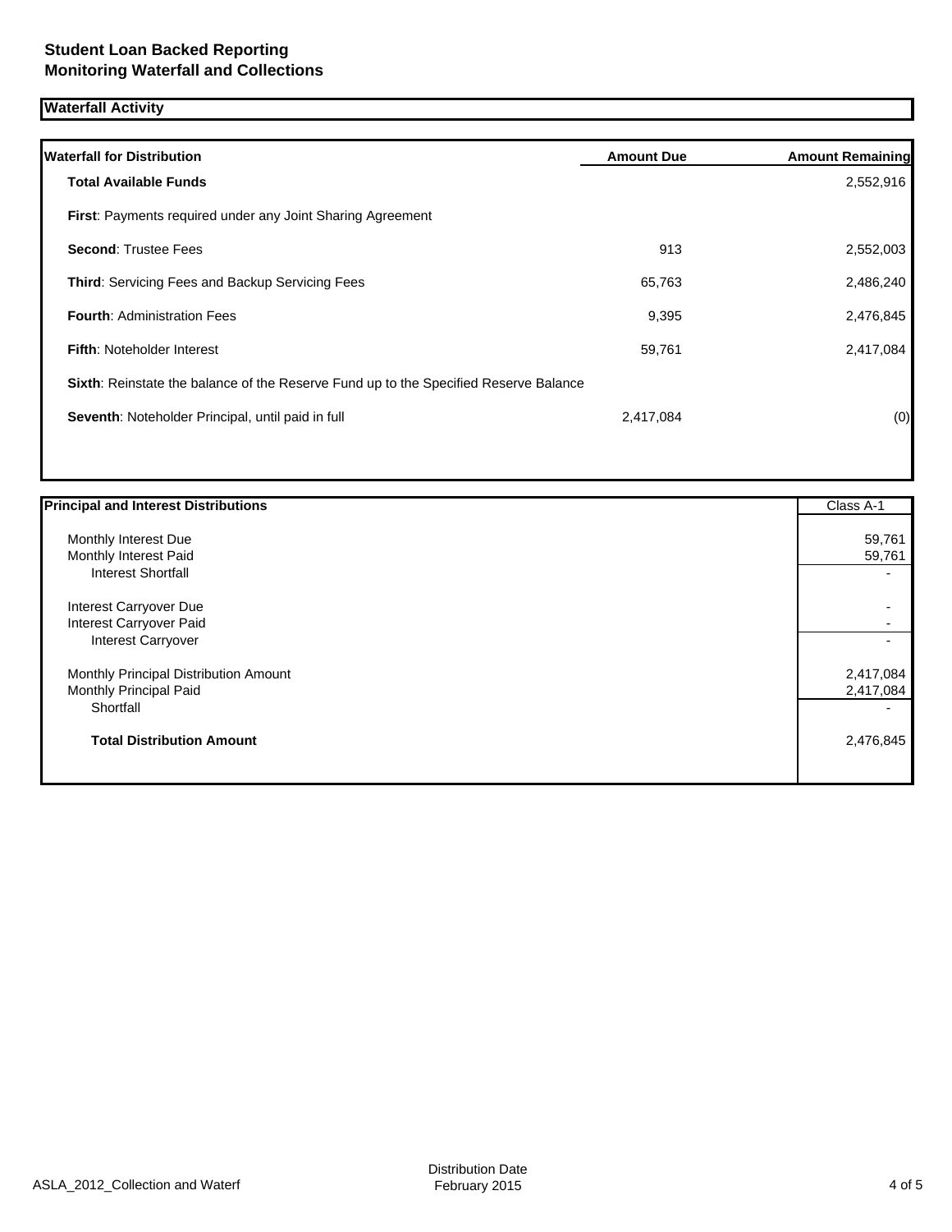# **Waterfall Activity**

| <b>Waterfall for Distribution</b>                                                    | <b>Amount Due</b> | <b>Amount Remaining</b> |
|--------------------------------------------------------------------------------------|-------------------|-------------------------|
| <b>Total Available Funds</b>                                                         |                   | 2,552,916               |
| <b>First:</b> Payments required under any Joint Sharing Agreement                    |                   |                         |
| <b>Second: Trustee Fees</b>                                                          | 913               | 2,552,003               |
| <b>Third:</b> Servicing Fees and Backup Servicing Fees                               | 65,763            | 2,486,240               |
| <b>Fourth: Administration Fees</b>                                                   | 9,395             | 2,476,845               |
| <b>Fifth: Noteholder Interest</b>                                                    | 59,761            | 2,417,084               |
| Sixth: Reinstate the balance of the Reserve Fund up to the Specified Reserve Balance |                   |                         |
| Seventh: Noteholder Principal, until paid in full                                    | 2,417,084         | (0)                     |
|                                                                                      |                   |                         |

| <b>Principal and Interest Distributions</b> | Class A-1 |
|---------------------------------------------|-----------|
| Monthly Interest Due                        | 59,761    |
|                                             |           |
| Monthly Interest Paid                       | 59,761    |
| <b>Interest Shortfall</b>                   |           |
| Interest Carryover Due                      |           |
| Interest Carryover Paid                     |           |
| Interest Carryover                          |           |
| Monthly Principal Distribution Amount       | 2,417,084 |
| Monthly Principal Paid                      | 2,417,084 |
| Shortfall                                   |           |
| <b>Total Distribution Amount</b>            | 2,476,845 |
|                                             |           |